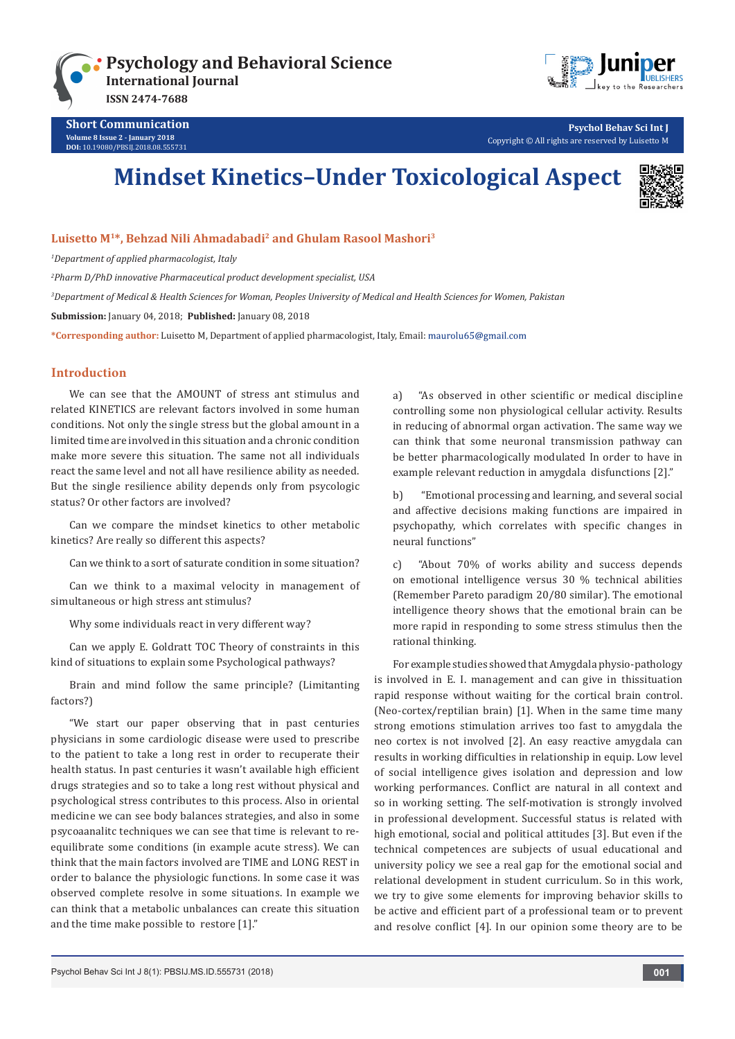



**Short Communication Volume 8 Issue 2 - January 2018 [DOI:](http://dx.doi.org/10.19080/PBSIJ.2017.02.555576)** [10.19080/PBSIJ.2018.08.5557](http://dx.doi.org/10.19080/PBSIJ.2018.08.555731)31

# **Mindset Kinetics–Under Toxicological Aspect**



#### **Luisetto M1\*, Behzad Nili Ahmadabadi2 and Ghulam Rasool Mashori3**

*1 Department of applied pharmacologist, Italy*

*2 Pharm D/PhD innovative Pharmaceutical product development specialist, USA*

*3 Department of Medical & Health Sciences for Woman, Peoples University of Medical and Health Sciences for Women, Pakistan*

**Submission:** January 04, 2018; **Published:** January 08, 2018

**\*Corresponding author:** Luisetto M, Department of applied pharmacologist, Italy, Email:

### **Introduction**

We can see that the AMOUNT of stress ant stimulus and related KINETICS are relevant factors involved in some human conditions. Not only the single stress but the global amount in a limited time are involved in this situation and a chronic condition make more severe this situation. The same not all individuals react the same level and not all have resilience ability as needed. But the single resilience ability depends only from psycologic status? Or other factors are involved?

Can we compare the mindset kinetics to other metabolic kinetics? Are really so different this aspects?

Can we think to a sort of saturate condition in some situation?

Can we think to a maximal velocity in management of simultaneous or high stress ant stimulus?

Why some individuals react in very different way?

Can we apply E. Goldratt TOC Theory of constraints in this kind of situations to explain some Psychological pathways?

Brain and mind follow the same principle? (Limitanting factors?)

"We start our paper observing that in past centuries physicians in some cardiologic disease were used to prescribe to the patient to take a long rest in order to recuperate their health status. In past centuries it wasn't available high efficient drugs strategies and so to take a long rest without physical and psychological stress contributes to this process. Also in oriental medicine we can see body balances strategies, and also in some psycoaanalitc techniques we can see that time is relevant to reequilibrate some conditions (in example acute stress). We can think that the main factors involved are TIME and LONG REST in order to balance the physiologic functions. In some case it was observed complete resolve in some situations. In example we can think that a metabolic unbalances can create this situation and the time make possible to restore [1]."

a) "As observed in other scientific or medical discipline controlling some non physiological cellular activity. Results in reducing of abnormal organ activation. The same way we can think that some neuronal transmission pathway can be better pharmacologically modulated In order to have in example relevant reduction in amygdala disfunctions [2]."

b) "Emotional processing and learning, and several social and affective decisions making functions are impaired in psychopathy, which correlates with specific changes in neural functions"

c) "About 70% of works ability and success depends on emotional intelligence versus 30 % technical abilities (Remember Pareto paradigm 20/80 similar). The emotional intelligence theory shows that the emotional brain can be more rapid in responding to some stress stimulus then the rational thinking.

For example studies showed that Amygdala physio-pathology is involved in E. I. management and can give in thissituation rapid response without waiting for the cortical brain control. (Neo-cortex/reptilian brain) [1]. When in the same time many strong emotions stimulation arrives too fast to amygdala the neo cortex is not involved [2]. An easy reactive amygdala can results in working difficulties in relationship in equip. Low level of social intelligence gives isolation and depression and low working performances. Conflict are natural in all context and so in working setting. The self-motivation is strongly involved in professional development. Successful status is related with high emotional, social and political attitudes [3]. But even if the technical competences are subjects of usual educational and university policy we see a real gap for the emotional social and relational development in student curriculum. So in this work, we try to give some elements for improving behavior skills to be active and efficient part of a professional team or to prevent and resolve conflict [4]. In our opinion some theory are to be